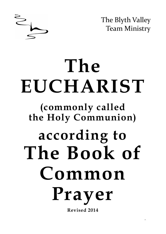

The Blyth Valley Team Ministry

# **The EUCHARIST (commonly called the Holy Communion) according to The Book of Common Prayer Revised 2014**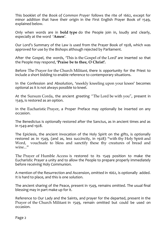This booklet of the *Book of Common Prayer* follows the rite of 1662, except for minor addition that have their origin in the First English Prayer Book of 1549, explained below.

Only when words are in **bold type** do the People join in, loudly and clearly, especially at the word '**Amen**'.

Our Lord's Summary of the Law is used from the Prayer Book of 1928, which was approved for use by the Bishops although rejected by Parliament.

After the Gospel, the words, 'This is the Gospel of the Lord' are inserted so that the People may respond, '**Praise be to thee, O Christ'.**

Before The Prayer for the Church Militant, there is opportunity for the Priest to include a short bidding to enable reference to contemporary situations.

In the Confession and Absolution, 'meekly kneeling upon your knees' becomes optional as it is not always possible to kneel.

At the Sursum Corda, the ancient greeting "The Lord be with you", present in 1549, is restored as an option.

In the Eucharistic Prayer, a Proper Preface may optionally be inserted on any occasion.

The Benedictus is optionally restored after the Sanctus, as in ancient times and as in 1549 and 1928.

The Epiclesis, the ancient invocation of the Holy Spirit on the gifts, is optionally restored as in 1549, (and as, less succinctly, in 1928): "with thy Holy Spirit and Word, vouchsafe to bless and sanctify these thy creatures of bread and wine..."

The Prayer of Humble Access is restored to its 1549 position to make the Eucharistic Prayer a unity and to allow the People to prepare properly immediately before receiving Holy Communion.

A mention of the Resurrection and Ascension, omitted in 1662, is optionally added. It is hard to place, and this is one solution.

The ancient sharing of the Peace, present in 1549, remains omitted. The usual final blessing may in part make up for it.

Reference to Our Lady and the Saints, and prayer for the departed, present in the Prayer of the Church Militant in 1549, remain omitted but could be used on occasion.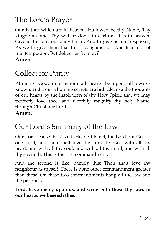# The Lord's Prayer

Our Father which art in heaven, Hallowed be thy Name, Thy kingdom come, Thy will be done, in earth as it is in heaven. Give us this day our daily bread; And forgive us our trespasses, As we forgive them that trespass against us; And lead us not into temptation, But deliver us from evil.

**Amen.**

### Collect for Purity

Almighty God, unto whom all hearts be open, all desires known, and from whom no secrets are hid: Cleanse the thoughts of our hearts by the inspiration of thy Holy Spirit, that we may perfectly love thee, and worthily magnify thy holy Name; through Christ our Lord.

#### **Amen.**

### Our Lord's Summary of the Law

Our Lord Jesus Christ said: Hear, O Israel, the Lord our God is one Lord; and thou shalt love the Lord thy God with all thy heart, and with all thy soul, and with all thy mind, and with all thy strength. This is the first commandment.

And the second is like, namely this: Thou shalt love thy neighbour as thyself. There is none other commandment greater than these. On these two commandments hang all the law and the prophets.

**Lord, have mercy upon us, and write both these thy laws in our hearts, we beseech thee.**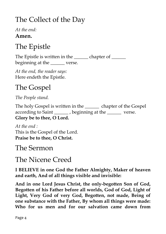# The Collect of the Day

*At the end:* **Amen.**

# The Epistle

The Epistle is written in the \_\_\_\_\_\_\_ chapter of \_\_\_\_\_\_ beginning at the verse.

*At the end, the reader says:* Here endeth the Epistle.

# The Gospel

*The People stand.*

The holy Gospel is written in the chapter of the Gospel according to Saint beginning at the verse. **Glory be to thee, O Lord.**

*At the end :* This is the Gospel of the Lord. **Praise be to thee, O Christ.**

#### The Sermon

#### The Nicene Creed

**I BELIEVE in one God the Father Almighty, Maker of heaven and earth, And of all things visible and invisible:**

**And in one Lord Jesus Christ, the only-begotten Son of God, Begotten of his Father before all worlds, God of God, Light of Light, Very God of very God, Begotten, not made, Being of one substance with the Father, By whom all things were made: Who for us men and for our salvation came down from**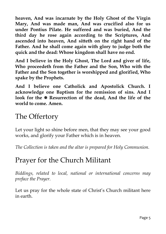**heaven, And was incarnate by the Holy Ghost of the Virgin Mary, And was made man, And was crucified also for us under Pontius Pilate. He suffered and was buried, And the third day he rose again according to the Scriptures, And ascended into heaven, And sitteth on the right hand of the Father. And he shall come again with glory to judge both the quick and the dead: Whose kingdom shall have no end.**

**And I believe in the Holy Ghost, The Lord and giver of life, Who proceedeth from the Father and the Son, Who with the Father and the Son together is worshipped and glorified, Who spake by the Prophets.** 

**And I believe one Catholick and Apostolick Church. I acknowledge one Baptism for the remission of sins. And I**  look for the  $\Phi$  Resurrection of the dead, And the life of the **world to come. Amen.** 

### The Offertory

Let your light so shine before men, that they may see your good works, and glorify your Father which is in heaven.

*The Collection is taken and the altar is prepared for Holy Communion.*

### Prayer for the Church Militant

*Biddings, related to local, national or international concerns may preface the Prayer.*

Let us pray for the whole state of Christ's Church militant here in earth.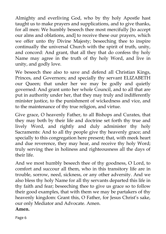Almighty and everliving God, who by thy holy Apostle hast taught us to make prayers and supplications, and to give thanks, for all men: We humbly beseech thee most mercifully [to accept our alms and oblations, and] to receive these our prayers, which we offer unto thy Divine Majesty; beseeching thee to inspire continually the universal Church with the spirit of truth, unity, and concord: And grant, that all they that do confess thy holy Name may agree in the truth of thy holy Word, and live in unity, and godly love.

We beseech thee also to save and defend all Christian Kings, Princes, and Governors; and specially thy servant ELIZABETH our Queen; that under her we may be godly and quietly governed: And grant unto her whole Council, and to all that are put in authority under her, that they may truly and indifferently minister justice, to the punishment of wickedness and vice, and to the maintenance of thy true religion, and virtue.

Give grace, O heavenly Father, to all Bishops and Curates, that they may both by their life and doctrine set forth thy true and lively Word, and rightly and duly administer thy holy Sacraments: And to all thy people give thy heavenly grace; and specially to this congregation here present; that, with meek heart and due reverence, they may hear, and receive thy holy Word; truly serving thee in holiness and righteousness all the days of their life.

And we most humbly beseech thee of thy goodness, O Lord, to comfort and succour all them, who in this transitory life are in trouble, sorrow, need, sickness, or any other adversity. And we also bless thy holy Name for all thy servants departed this life in thy faith and fear; beseeching thee to give us grace so to follow their good examples, that with them we may be partakers of thy heavenly kingdom: Grant this, O Father, for Jesus Christ's sake, our only Mediator and Advocate. Amen.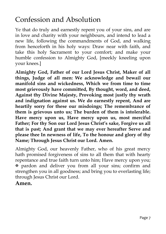### Confession and Absolution

Ye that do truly and earnestly repent you of your sins, and are in love and charity with your neighbours, and intend to lead a new life, following the commandments of God, and walking from henceforth in his holy ways: Draw near with faith, and take this holy Sacrament to your comfort; and make your humble confession to Almighty God, [meekly kneeling upon your knees.]

**Almighty God, Father of our Lord Jesus Christ, Maker of all things, Judge of all men: We acknowledge and bewail our manifold sins and wickedness, Which we from time to time most grievously have committed, By thought, word, and deed, Against thy Divine Majesty, Provoking most justly thy wrath and indignation against us. We do earnestly repent, And are heartily sorry for these our misdoings; The remembrance of them is grievous unto us; The burden of them is intolerable. Have mercy upon us, Have mercy upon us, most merciful Father; For thy Son our Lord Jesus Christ's sake, Forgive us all that is past; And grant that we may ever hereafter Serve and please thee In newness of life, To the honour and glory of thy Name; Through Jesus Christ our Lord. Amen.**

Almighty God, our heavenly Father, who of his great mercy hath promised forgiveness of sins to all them that with hearty repentance and true faith turn unto him; Have mercy upon you; pardon and deliver you from all your sins; confirm and strengthen you in all goodness; and bring you to everlasting life; through Jesus Christ our Lord.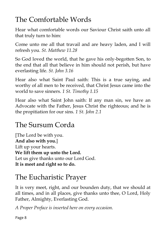# The Comfortable Words

Hear what comfortable words our Saviour Christ saith unto all that truly turn to him:

Come unto me all that travail and are heavy laden, and I will refresh you. *St. Matthew 11.28*

So God loved the world, that he gave his only-begotten Son, to the end that all that believe in him should not perish, but have everlasting life. *St. John 3.16*

Hear also what Saint Paul saith: This is a true saying, and worthy of all men to be received, that Christ Jesus came into the world to save sinners. *1 St. Timothy 1.15*

Hear also what Saint John saith: If any man sin, we have an Advocate with the Father, Jesus Christ the righteous; and he is the propitiation for our sins. *1 St. John 2.1*

### The Sursum Corda

[The Lord be with you. **And also with you.**] Lift up your hearts. **We lift them up unto the Lord.** Let us give thanks unto our Lord God. **It is meet and right so to do.**

### The Eucharistic Prayer

It is very meet, right, and our bounden duty, that we should at all times, and in all places, give thanks unto thee, O Lord, Holy Father, Almighty, Everlasting God.

*A Proper Preface is inserted here on every occasion.*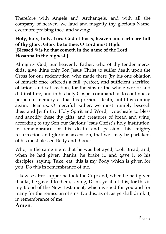Therefore with Angels and Archangels, and with all the company of heaven, we laud and magnify thy glorious Name; evermore praising thee, and saying:

#### **Holy, holy, holy, Lord God of hosts, heaven and earth are full of thy glory: Glory be to thee, O Lord most High. [Blessed is he that cometh in the name of the Lord. Hosanna in the highest.]**

Almighty God, our heavenly Father, who of thy tender mercy didst give thine only Son Jesus Christ to suffer death upon the Cross for our redemption; who made there (by his one oblation of himself once offered) a full, perfect, and sufficient sacrifice, oblation, and satisfaction, for the sins of the whole world; and did institute, and in his holy Gospel command us to continue, a perpetual memory of that his precious death, until his coming again: Hear us, O merciful Father, we most humbly beseech thee; and [with thy Holy Spirit and Word, vouchsafe to bless and sanctify these thy gifts, and creatures of bread and wine] according to thy Son our Saviour Jesus Christ's holy institution, in remembrance of his death and passion [his mighty resurrection and glorious ascension, that we] may be partakers of his most blessed Body and Blood:

Who, in the same night that he was betrayed, took Bread; and, when he had given thanks, he brake it, and gave it to his disciples, saying, Take, eat; this is my Body which is given for you: Do this in remembrance of me.

Likewise after supper he took the Cup; and, when he had given thanks, he gave it to them, saying, Drink ye all of this; for this is my Blood of the New Testament, which is shed for you and for many for the remission of sins: Do this, as oft as ye shall drink it, in remembrance of me.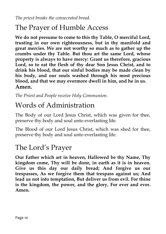*The priest breaks the consecrated bread.*

### The Prayer of Humble Access

**We do not presume to come to this thy Table, O merciful Lord, trusting in our own righteousness, but in thy manifold and great mercies. We are not worthy so much as to gather up the crumbs under thy Table. But thou art the same Lord, whose property is always to have mercy: Grant us therefore, gracious Lord, so to eat the flesh of thy dear Son Jesus Christ, and to drink his blood, that our sinful bodies may be made clean by his body, and our souls washed through his most precious blood, and that we may evermore dwell in him, and he in us. Amen.**

*The Priest and People receive Holy Communion.*

### Words of Administration

The Body of our Lord Jesus Christ, which was given for thee, preserve thy body and soul unto everlasting life.

The Blood of our Lord Jesus Christ, which was shed for thee, preserve thy body and soul unto everlasting life.

### The Lord's Prayer

**Our Father which art in heaven, Hallowed be thy Name, Thy kingdom come, Thy will be done, in earth as it is in heaven. Give us this day our daily bread; And forgive us our trespasses, As we forgive them that trespass against us; And lead us not into temptation, But deliver us from evil. For thine is the kingdom, the power, and the glory, For ever and ever. Amen.**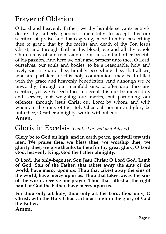### Prayer of Oblation

O Lord and heavenly Father, we thy humble servants entirely desire thy fatherly goodness mercifully to accept this our sacrifice of praise and thanksgiving; most humbly beseeching thee to grant, that by the merits and death of thy Son Jesus Christ, and through faith in his blood, we and all thy whole Church may obtain remission of our sins, and all other benefits of his passion. And here we offer and present unto thee, O Lord, ourselves, our souls and bodies, to be a reasonable, holy and lively sacrifice unto thee; humbly beseeching thee, that all we, who are partakers of this holy communion, may be fulfilled with thy grace and heavenly benediction. And although we be unworthy, through our manifold sins, to offer unto thee any sacrifice, yet we beseech thee to accept this our bounden duty and service; not weighing our merits, but pardoning our offences, through Jesus Christ our Lord; by whom, and with whom, in the unity of the Holy Ghost, all honour and glory be unto thee, O Father almighty, world without end.

#### **Amen.**

#### Gloria in Excelsis (*Omitted in Lent and Advent)*

**Glory be to God on high, and in earth peace, goodwill towards men. We praise thee, we bless thee, we worship thee, we glorify thee, we give thanks to thee for thy great glory, O Lord God, heavenly King, God the Father almighty.**

**O Lord, the only-begotten Son Jesu Christ; O Lord God, Lamb of God, Son of the Father, that takest away the sins of the world, have mercy upon us. Thou that takest away the sins of the world, have mercy upon us. Thou that takest away the sins of the world, receive our prayer. Thou that sittest at the right hand of God the Father, have mercy upon us.**

**For thou only art holy; thou only art the Lord; thou only, O Christ, with the Holy Ghost, art most high in the glory of God the Father.**